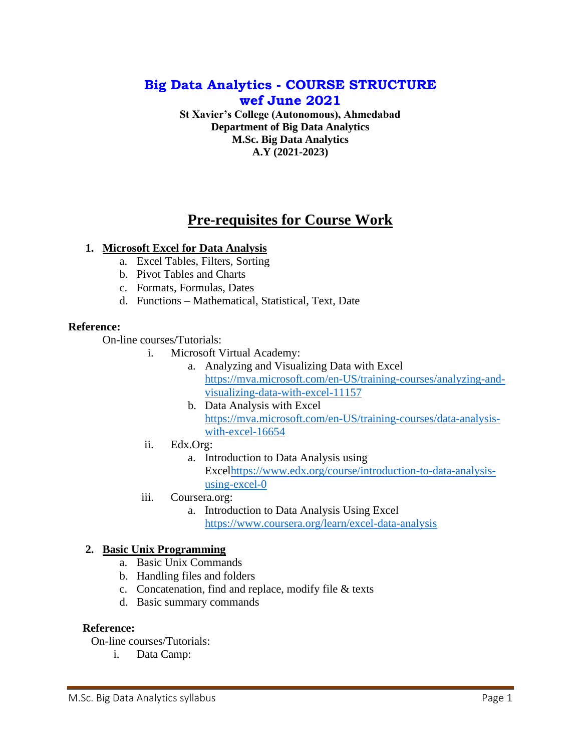# **Big Data Analytics - COURSE STRUCTURE wef June 2021**

**St Xavier's College (Autonomous), Ahmedabad Department of Big Data Analytics M.Sc. Big Data Analytics A.Y (2021-2023)**

# **Pre-requisites for Course Work**

### **1. Microsoft Excel for Data Analysis**

- a. Excel Tables, Filters, Sorting
- b. Pivot Tables and Charts
- c. Formats, Formulas, Dates
- d. Functions Mathematical, Statistical, Text, Date

### **Reference:**

On-line courses/Tutorials:

- i. Microsoft Virtual Academy:
	- a. Analyzing and Visualizing Data with Excel [https://mva.microsoft.com/en-US/training-courses/analyzing-and](https://mva.microsoft.com/en-US/training-courses/analyzing-and-visualizing-data-with-excel-11157)[visualizing-data-with-excel-11157](https://mva.microsoft.com/en-US/training-courses/analyzing-and-visualizing-data-with-excel-11157)
	- b. Data Analysis with Excel [https://mva.microsoft.com/en-US/training-courses/data-analysis](https://mva.microsoft.com/en-US/training-courses/data-analysis-with-excel-16654)[with-excel-16654](https://mva.microsoft.com/en-US/training-courses/data-analysis-with-excel-16654)
- ii. Edx.Org:
	- a. Introduction to Data Analysis using Exce[lhttps://www.edx.org/course/introduction-to-data-analysis](https://www.edx.org/course/introduction-to-data-analysis-using-excel-0)[using-excel-0](https://www.edx.org/course/introduction-to-data-analysis-using-excel-0)
- iii. Coursera.org:
	- a. Introduction to Data Analysis Using Excel <https://www.coursera.org/learn/excel-data-analysis>

## **2. Basic Unix Programming**

- a. Basic Unix Commands
- b. Handling files and folders
- c. Concatenation, find and replace, modify file & texts
- d. Basic summary commands

### **Reference:**

On-line courses/Tutorials:

i. Data Camp: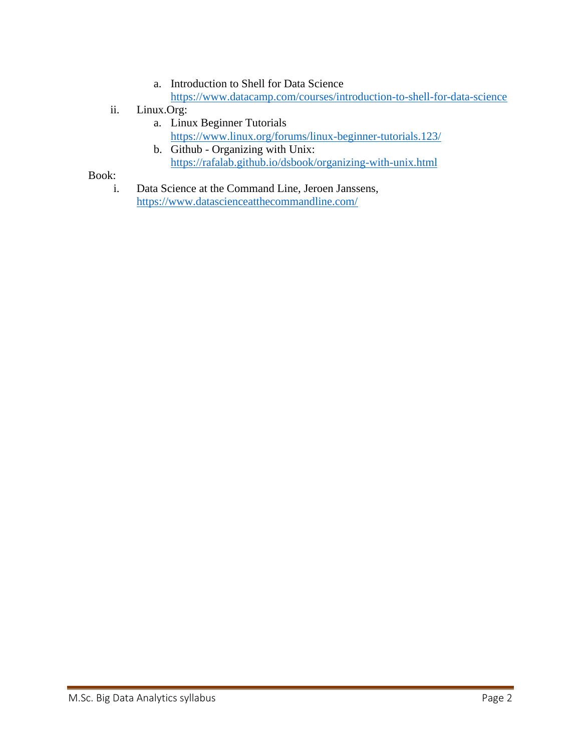- a. Introduction to Shell for Data Science <https://www.datacamp.com/courses/introduction-to-shell-for-data-science>
- ii. Linux.Org:
	- a. Linux Beginner Tutorials <https://www.linux.org/forums/linux-beginner-tutorials.123/>
	- b. Github Organizing with Unix: <https://rafalab.github.io/dsbook/organizing-with-unix.html>

Book:

i. Data Science at the Command Line, Jeroen Janssens, <https://www.datascienceatthecommandline.com/>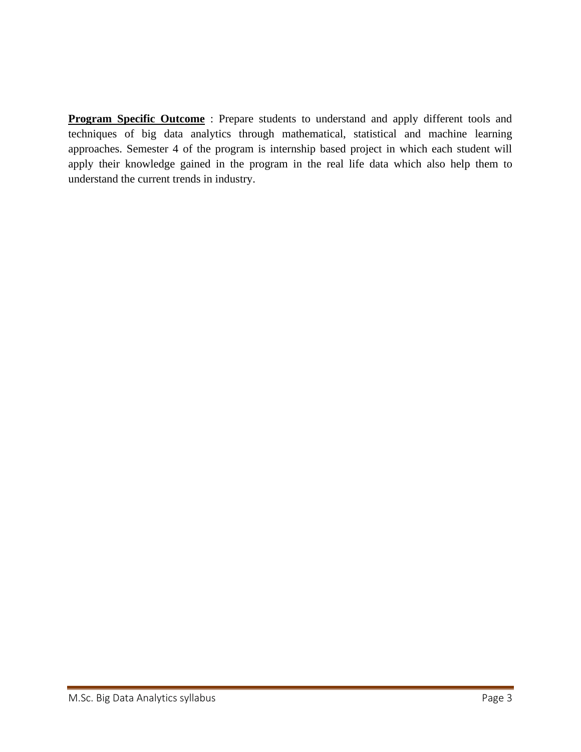**Program Specific Outcome** : Prepare students to understand and apply different tools and techniques of big data analytics through mathematical, statistical and machine learning approaches. Semester 4 of the program is internship based project in which each student will apply their knowledge gained in the program in the real life data which also help them to understand the current trends in industry.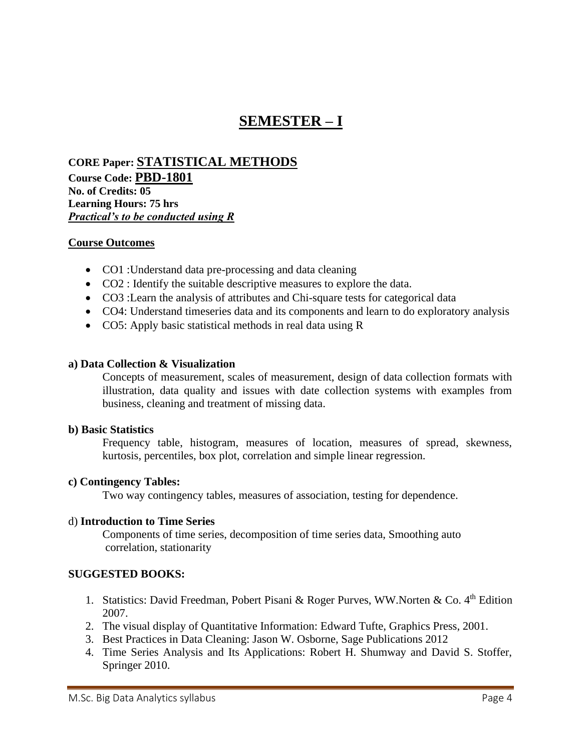# **SEMESTER – I**

**CORE Paper: STATISTICAL METHODS Course Code: PBD-1801 No. of Credits: 05 Learning Hours: 75 hrs** *Practical's to be conducted using R*

### **Course Outcomes**

- CO1 : Understand data pre-processing and data cleaning
- CO2 : Identify the suitable descriptive measures to explore the data.
- CO3 :Learn the analysis of attributes and Chi-square tests for categorical data
- CO4: Understand timeseries data and its components and learn to do exploratory analysis
- CO5: Apply basic statistical methods in real data using R

#### **a) Data Collection & Visualization**

Concepts of measurement, scales of measurement, design of data collection formats with illustration, data quality and issues with date collection systems with examples from business, cleaning and treatment of missing data.

#### **b) Basic Statistics**

Frequency table, histogram, measures of location, measures of spread, skewness, kurtosis, percentiles, box plot, correlation and simple linear regression.

### **c) Contingency Tables:**

Two way contingency tables, measures of association, testing for dependence.

### d) **Introduction to Time Series**

Components of time series, decomposition of time series data, Smoothing auto correlation, stationarity

- 1. Statistics: David Freedman, Pobert Pisani & Roger Purves, WW.Norten & Co.  $4<sup>th</sup>$  Edition 2007.
- 2. The visual display of Quantitative Information: Edward Tufte, Graphics Press, 2001.
- 3. Best Practices in Data Cleaning: Jason W. Osborne, Sage Publications 2012
- 4. Time Series Analysis and Its Applications: Robert H. Shumway and David S. Stoffer, Springer 2010.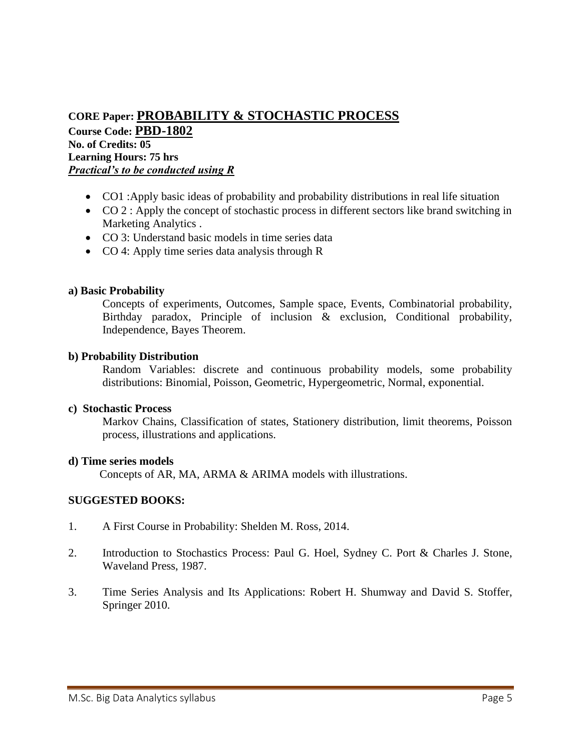# **CORE Paper: PROBABILITY & STOCHASTIC PROCESS**

**Course Code: PBD-1802 No. of Credits: 05 Learning Hours: 75 hrs** *Practical's to be conducted using R*

- CO1 :Apply basic ideas of probability and probability distributions in real life situation
- CO 2 : Apply the concept of stochastic process in different sectors like brand switching in Marketing Analytics .
- CO 3: Understand basic models in time series data
- CO 4: Apply time series data analysis through R

### **a) Basic Probability**

Concepts of experiments, Outcomes, Sample space, Events, Combinatorial probability, Birthday paradox, Principle of inclusion & exclusion, Conditional probability, Independence, Bayes Theorem.

### **b) Probability Distribution**

Random Variables: discrete and continuous probability models, some probability distributions: Binomial, Poisson, Geometric, Hypergeometric, Normal, exponential.

### **c) Stochastic Process**

Markov Chains, Classification of states, Stationery distribution, limit theorems, Poisson process, illustrations and applications.

### **d) Time series models**

Concepts of AR, MA, ARMA & ARIMA models with illustrations.

- 1. A First Course in Probability: Shelden M. Ross, 2014.
- 2. Introduction to Stochastics Process: Paul G. Hoel, Sydney C. Port & Charles J. Stone, Waveland Press, 1987.
- 3. Time Series Analysis and Its Applications: Robert H. Shumway and David S. Stoffer, Springer 2010.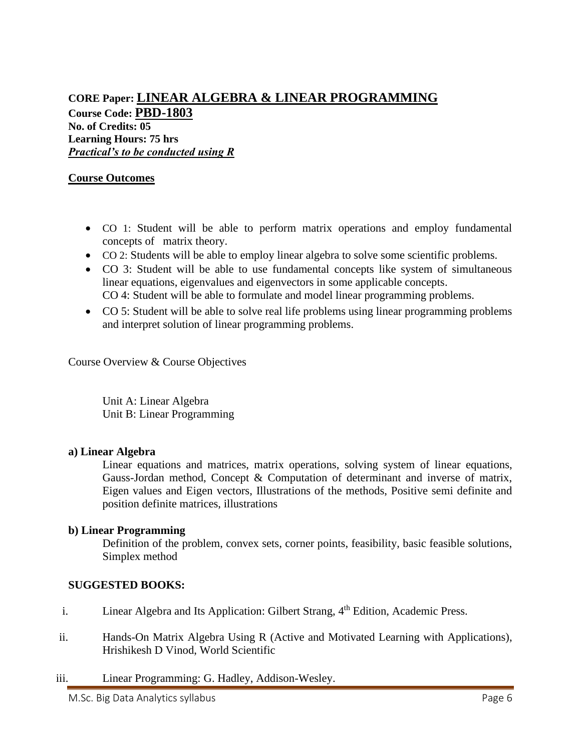### **CORE Paper: LINEAR ALGEBRA & LINEAR PROGRAMMING Course Code: PBD-1803 No. of Credits: 05 Learning Hours: 75 hrs** *Practical's to be conducted using R*

### **Course Outcomes**

- CO 1: Student will be able to perform matrix operations and employ fundamental concepts of matrix theory.
- CO 2: Students will be able to employ linear algebra to solve some scientific problems.
- CO 3: Student will be able to use fundamental concepts like system of simultaneous linear equations, eigenvalues and eigenvectors in some applicable concepts. CO 4: Student will be able to formulate and model linear programming problems.
- CO 5: Student will be able to solve real life problems using linear programming problems and interpret solution of linear programming problems.

Course Overview & Course Objectives

Unit A: Linear Algebra Unit B: Linear Programming

### **a) Linear Algebra**

Linear equations and matrices, matrix operations, solving system of linear equations, Gauss-Jordan method, Concept  $\&$  Computation of determinant and inverse of matrix, Eigen values and Eigen vectors, Illustrations of the methods, Positive semi definite and position definite matrices, illustrations

### **b) Linear Programming**

Definition of the problem, convex sets, corner points, feasibility, basic feasible solutions, Simplex method

- i. Linear Algebra and Its Application: Gilbert Strang, 4<sup>th</sup> Edition, Academic Press.
- ii. Hands-On Matrix Algebra Using R (Active and Motivated Learning with Applications), Hrishikesh D Vinod, World Scientific
- iii. Linear Programming: G. Hadley, Addison-Wesley.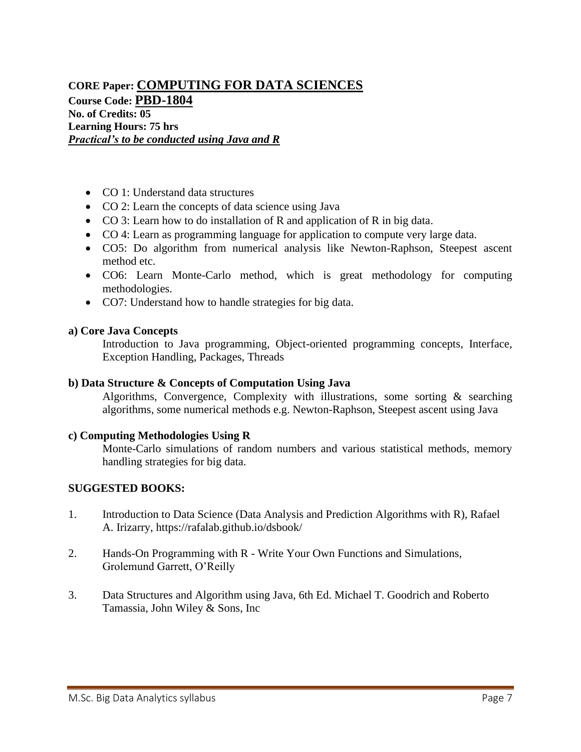### **CORE Paper: COMPUTING FOR DATA SCIENCES Course Code: PBD-1804 No. of Credits: 05 Learning Hours: 75 hrs** *Practical's to be conducted using Java and R*

- CO 1: Understand data structures
- CO 2: Learn the concepts of data science using Java
- CO 3: Learn how to do installation of R and application of R in big data.
- CO 4: Learn as programming language for application to compute very large data.
- CO5: Do algorithm from numerical analysis like Newton-Raphson, Steepest ascent method etc.
- CO6: Learn Monte-Carlo method, which is great methodology for computing methodologies.
- CO7: Understand how to handle strategies for big data.

#### **a) Core Java Concepts**

Introduction to Java programming, Object-oriented programming concepts, Interface, Exception Handling, Packages, Threads

### **b) Data Structure & Concepts of Computation Using Java**

Algorithms, Convergence, Complexity with illustrations, some sorting & searching algorithms, some numerical methods e.g. Newton-Raphson, Steepest ascent using Java

#### **c) Computing Methodologies Using R**

Monte-Carlo simulations of random numbers and various statistical methods, memory handling strategies for big data.

- 1. Introduction to Data Science (Data Analysis and Prediction Algorithms with R), Rafael A. Irizarry,<https://rafalab.github.io/dsbook/>
- 2. Hands-On Programming with R Write Your Own Functions and Simulations, Grolemund Garrett, O'Reilly
- 3. Data Structures and Algorithm using Java, 6th Ed. Michael T. Goodrich and Roberto Tamassia, John Wiley & Sons, Inc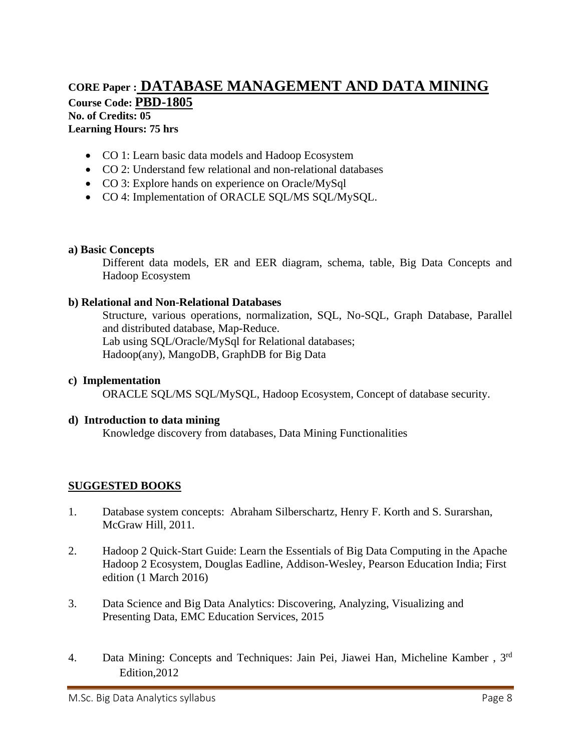## **CORE Paper : DATABASE MANAGEMENT AND DATA MINING Course Code: PBD-1805 No. of Credits: 05 Learning Hours: 75 hrs**

- CO 1: Learn basic data models and Hadoop Ecosystem
- CO 2: Understand few relational and non-relational databases
- CO 3: Explore hands on experience on Oracle/MySql
- CO 4: Implementation of ORACLE SOL/MS SOL/MySOL.

#### **a) Basic Concepts**

Different data models, ER and EER diagram, schema, table, Big Data Concepts and Hadoop Ecosystem

#### **b) Relational and Non-Relational Databases**

Structure, various operations, normalization, SQL, No-SQL, Graph Database, Parallel and distributed database, Map-Reduce. Lab using SQL/Oracle/MySql for Relational databases; Hadoop(any), MangoDB, GraphDB for Big Data

#### **c) Implementation**

ORACLE SQL/MS SQL/MySQL, Hadoop Ecosystem, Concept of database security.

#### **d) Introduction to data mining**

Knowledge discovery from databases, Data Mining Functionalities

- 1. Database system concepts: Abraham Silberschartz, Henry F. Korth and S. Surarshan, McGraw Hill, 2011.
- 2. Hadoop 2 Quick-Start Guide: Learn the Essentials of Big Data Computing in the Apache Hadoop 2 Ecosystem, Douglas Eadline, Addison-Wesley, Pearson Education India; First edition (1 March 2016)
- 3. Data Science and Big Data Analytics: Discovering, Analyzing, Visualizing and Presenting Data, EMC Education Services, 2015
- 4. Data Mining: Concepts and Techniques: Jain Pei, Jiawei Han, Micheline Kamber , 3rd Edition,2012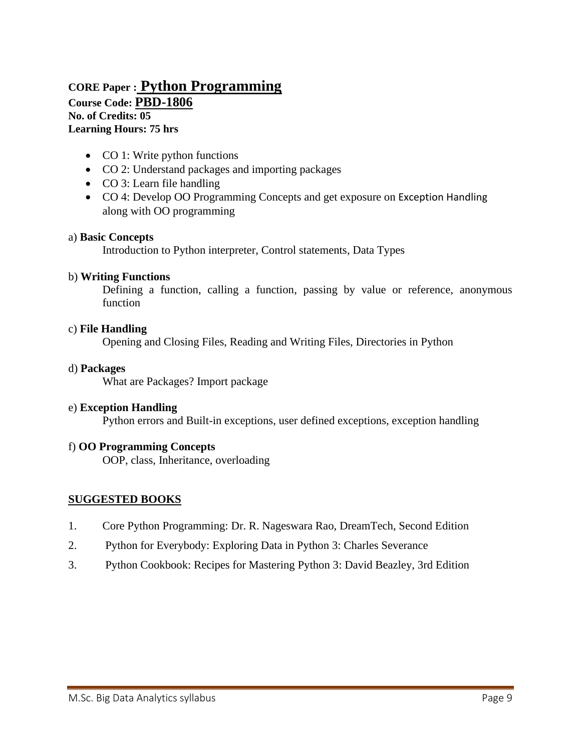## **CORE Paper : Python Programming Course Code: PBD-1806 No. of Credits: 05 Learning Hours: 75 hrs**

- CO 1: Write python functions
- CO 2: Understand packages and importing packages
- CO 3: Learn file handling
- CO 4: Develop OO Programming Concepts and get exposure on Exception Handling along with OO programming

#### a) **Basic Concepts**

Introduction to Python interpreter, Control statements, Data Types

#### b) **Writing Functions**

Defining a function, calling a function, passing by value or reference, anonymous function

#### c) **File Handling**

Opening and Closing Files, Reading and Writing Files, Directories in Python

#### d) **Packages**

What are Packages? Import package

#### e) **Exception Handling**

Python errors and Built-in exceptions, user defined exceptions, exception handling

### f) **OO Programming Concepts**

OOP, class, Inheritance, overloading

- 1. Core Python Programming: Dr. R. Nageswara Rao, DreamTech, Second Edition
- 2. Python for Everybody: Exploring Data in Python 3: Charles Severance
- 3. Python Cookbook: Recipes for Mastering Python 3: David Beazley, 3rd Edition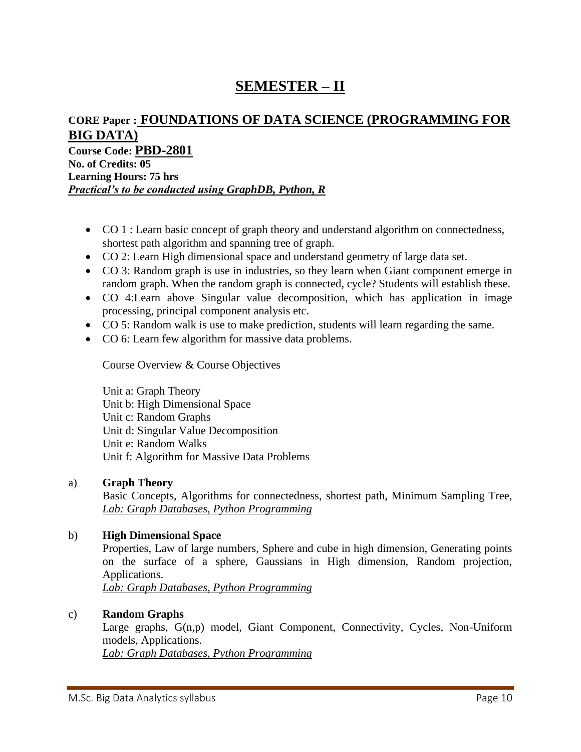# **SEMESTER – II**

## **CORE Paper : FOUNDATIONS OF DATA SCIENCE (PROGRAMMING FOR BIG DATA) Course Code: PBD-2801 No. of Credits: 05**

**Learning Hours: 75 hrs** *Practical's to be conducted using GraphDB, Python, R*

- CO 1 : Learn basic concept of graph theory and understand algorithm on connectedness, shortest path algorithm and spanning tree of graph.
- CO 2: Learn High dimensional space and understand geometry of large data set.
- CO 3: Random graph is use in industries, so they learn when Giant component emerge in random graph. When the random graph is connected, cycle? Students will establish these.
- CO 4:Learn above Singular value decomposition, which has application in image processing, principal component analysis etc.
- CO 5: Random walk is use to make prediction, students will learn regarding the same.
- CO 6: Learn few algorithm for massive data problems.

Course Overview & Course Objectives

Unit a: Graph Theory Unit b: High Dimensional Space Unit c: Random Graphs Unit d: Singular Value Decomposition Unit e: Random Walks Unit f: Algorithm for Massive Data Problems

### a) **Graph Theory**

Basic Concepts, Algorithms for connectedness, shortest path, Minimum Sampling Tree, *Lab: Graph Databases, Python Programming*

### b) **High Dimensional Space**

Properties, Law of large numbers, Sphere and cube in high dimension, Generating points on the surface of a sphere, Gaussians in High dimension, Random projection, Applications.

*Lab: Graph Databases, Python Programming*

### c) **Random Graphs**

Large graphs, G(n,p) model, Giant Component, Connectivity, Cycles, Non-Uniform models, Applications.

*Lab: Graph Databases, Python Programming*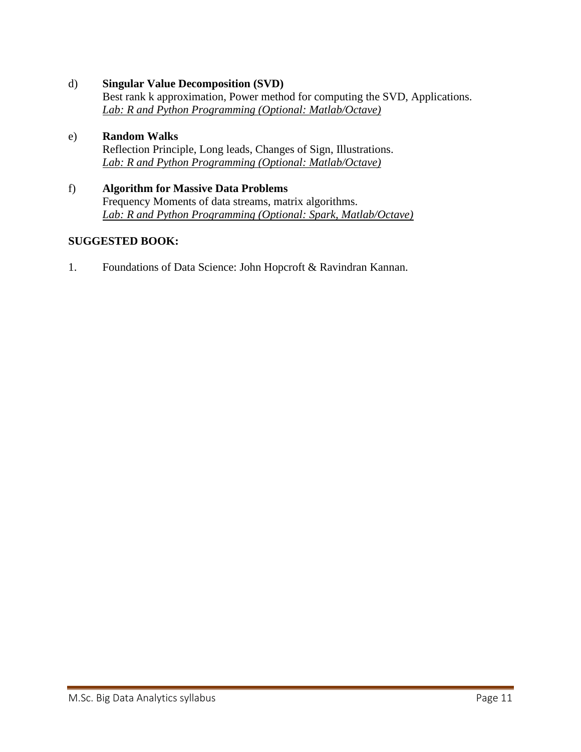d) **Singular Value Decomposition (SVD)**

Best rank k approximation, Power method for computing the SVD, Applications. *Lab: R and Python Programming (Optional: Matlab/Octave)*

- e) **Random Walks**  Reflection Principle, Long leads, Changes of Sign, Illustrations. *Lab: R and Python Programming (Optional: Matlab/Octave)*
- f) **Algorithm for Massive Data Problems** Frequency Moments of data streams, matrix algorithms. *Lab: R and Python Programming (Optional: Spark, Matlab/Octave)*

### **SUGGESTED BOOK:**

1. Foundations of Data Science: John Hopcroft & Ravindran Kannan.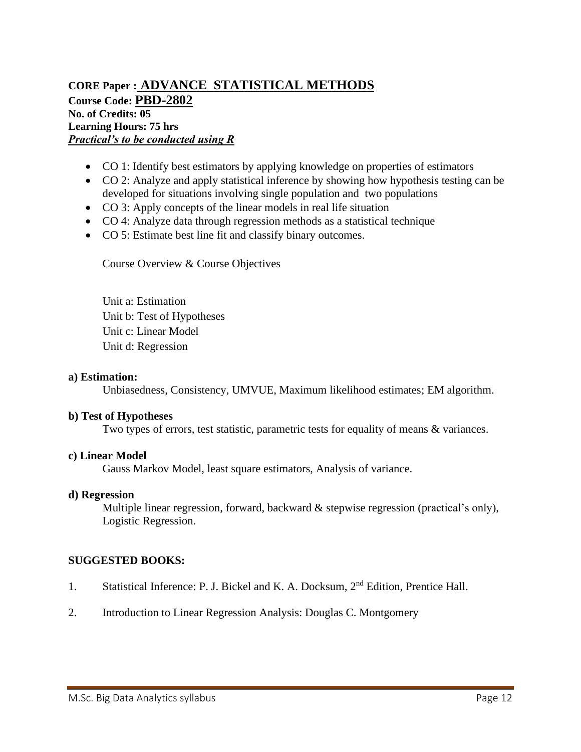### **CORE Paper : ADVANCE STATISTICAL METHODS Course Code: PBD-2802 No. of Credits: 05 Learning Hours: 75 hrs** *Practical's to be conducted using R*

- CO 1: Identify best estimators by applying knowledge on properties of estimators
- CO 2: Analyze and apply statistical inference by showing how hypothesis testing can be developed for situations involving single population and two populations
- CO 3: Apply concepts of the linear models in real life situation
- CO 4: Analyze data through regression methods as a statistical technique
- CO 5: Estimate best line fit and classify binary outcomes.

Course Overview & Course Objectives

Unit a: Estimation Unit b: Test of Hypotheses Unit c: Linear Model Unit d: Regression

#### **a) Estimation:**

Unbiasedness, Consistency, UMVUE, Maximum likelihood estimates; EM algorithm.

#### **b) Test of Hypotheses**

Two types of errors, test statistic, parametric tests for equality of means & variances.

#### **c) Linear Model**

Gauss Markov Model, least square estimators, Analysis of variance.

#### **d) Regression**

Multiple linear regression, forward, backward & stepwise regression (practical's only), Logistic Regression.

- 1. Statistical Inference: P. J. Bickel and K. A. Docksum, 2nd Edition, Prentice Hall.
- 2. Introduction to Linear Regression Analysis: Douglas C. Montgomery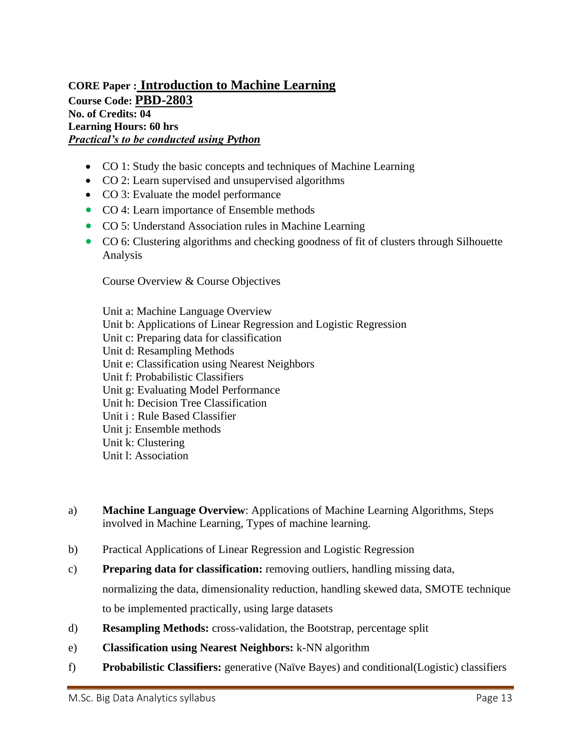### **CORE Paper : Introduction to Machine Learning Course Code: PBD-2803 No. of Credits: 04 Learning Hours: 60 hrs** *Practical's to be conducted using Python*

- CO 1: Study the basic concepts and techniques of Machine Learning
- CO 2: Learn supervised and unsupervised algorithms
- CO 3: Evaluate the model performance
- CO 4: Learn importance of Ensemble methods
- CO 5: Understand Association rules in Machine Learning
- CO 6: Clustering algorithms and checking goodness of fit of clusters through Silhouette Analysis

Course Overview & Course Objectives

Unit a: Machine Language Overview Unit b: Applications of Linear Regression and Logistic Regression Unit c: Preparing data for classification Unit d: Resampling Methods Unit e: Classification using Nearest Neighbors Unit f: Probabilistic Classifiers Unit g: Evaluating Model Performance Unit h: Decision Tree Classification Unit i : Rule Based Classifier Unit j: Ensemble methods Unit k: Clustering Unit l: Association

- a) **Machine Language Overview**: Applications of Machine Learning Algorithms, Steps involved in Machine Learning, Types of machine learning.
- b) Practical Applications of Linear Regression and Logistic Regression
- c) **Preparing data for classification:** removing outliers, handling missing data, normalizing the data, dimensionality reduction, handling skewed data, SMOTE technique to be implemented practically, using large datasets
- d) **Resampling Methods:** cross-validation, the Bootstrap, percentage split
- e) **Classification using Nearest Neighbors:** k-NN algorithm
- f) **Probabilistic Classifiers:** generative (Naïve Bayes) and conditional(Logistic) classifiers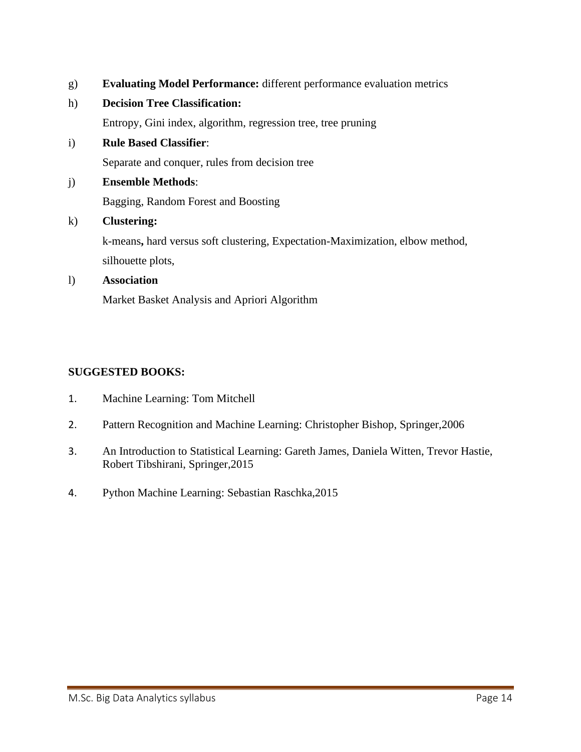- g) **Evaluating Model Performance:** different performance evaluation metrics
- h) **Decision Tree Classification:**

Entropy, Gini index, algorithm, regression tree, tree pruning

i) **Rule Based Classifier**:

Separate and conquer, rules from decision tree

j) **Ensemble Methods**:

Bagging, Random Forest and Boosting

k) **Clustering:** 

k-means**,** hard versus soft clustering, Expectation-Maximization, elbow method, silhouette plots,

### l) **Association**

Market Basket Analysis and Apriori Algorithm

- 1. Machine Learning: Tom Mitchell
- 2. Pattern Recognition and Machine Learning: Christopher Bishop, Springer,2006
- 3. An Introduction to Statistical Learning: Gareth James, Daniela Witten, Trevor Hastie, Robert Tibshirani, Springer,2015
- 4. Python Machine Learning: Sebastian Raschka,2015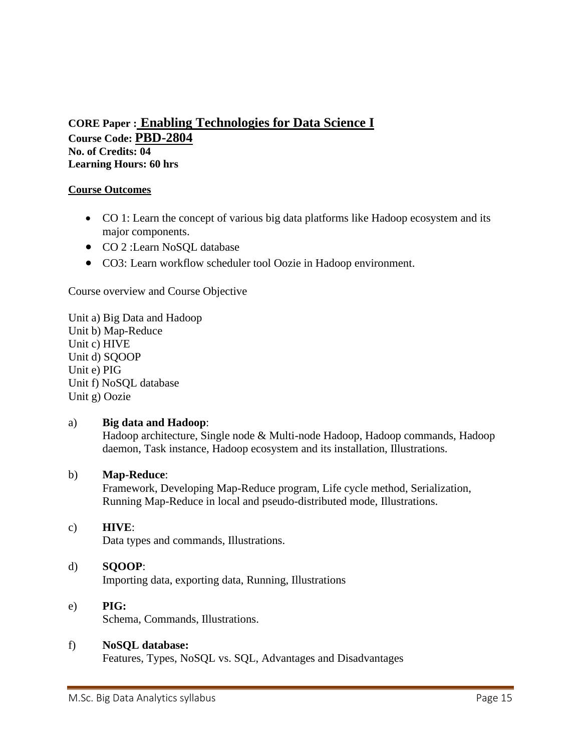## **CORE Paper : Enabling Technologies for Data Science I Course Code: PBD-2804 No. of Credits: 04 Learning Hours: 60 hrs**

### **Course Outcomes**

- CO 1: Learn the concept of various big data platforms like Hadoop ecosystem and its major components.
- CO 2 :Learn NoSQL database
- CO3: Learn workflow scheduler tool Oozie in Hadoop environment.

Course overview and Course Objective

Unit a) Big Data and Hadoop Unit b) Map-Reduce Unit c) HIVE Unit d) SQOOP Unit e) PIG Unit f) NoSQL database Unit g) Oozie

### a) **Big data and Hadoop**:

Hadoop architecture, Single node & Multi-node Hadoop, Hadoop commands, Hadoop daemon, Task instance, Hadoop ecosystem and its installation, Illustrations.

### b) **Map-Reduce**:

Framework, Developing Map-Reduce program, Life cycle method, Serialization, Running Map-Reduce in local and pseudo-distributed mode, Illustrations.

### c) **HIVE**:

Data types and commands, Illustrations.

### d) **SQOOP**:

Importing data, exporting data, Running, Illustrations

### e) **PIG:**

Schema, Commands, Illustrations.

### f) **NoSQL database:**

Features, Types, NoSQL vs. SQL, Advantages and Disadvantages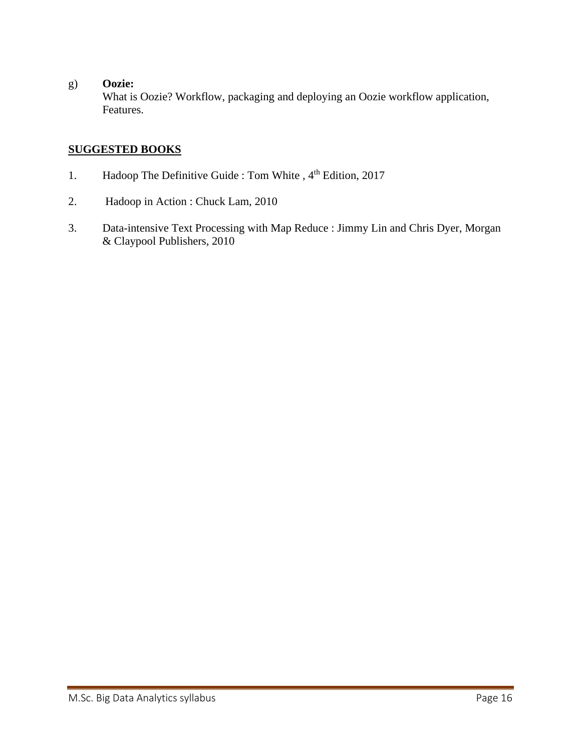### g) **Oozie:**

What is Oozie? Workflow, packaging and deploying an Oozie workflow application, Features.

- 1. Hadoop The Definitive Guide : Tom White, 4<sup>th</sup> Edition, 2017
- 2. Hadoop in Action : Chuck Lam, 2010
- 3. Data-intensive Text Processing with Map Reduce : Jimmy Lin and Chris Dyer, Morgan & Claypool Publishers, 2010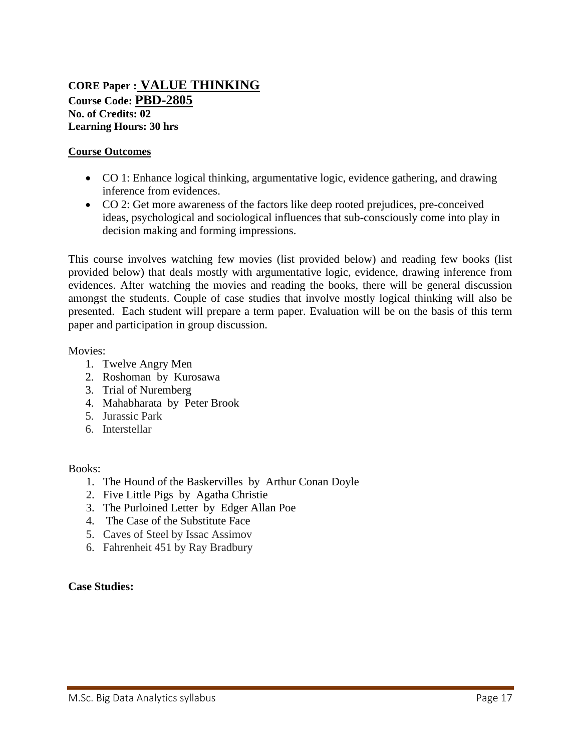### **CORE Paper : VALUE THINKING Course Code: PBD-2805 No. of Credits: 02 Learning Hours: 30 hrs**

### **Course Outcomes**

- CO 1: Enhance logical thinking, argumentative logic, evidence gathering, and drawing inference from evidences.
- CO 2: Get more awareness of the factors like deep rooted prejudices, pre-conceived ideas, psychological and sociological influences that sub-consciously come into play in decision making and forming impressions.

This course involves watching few movies (list provided below) and reading few books (list provided below) that deals mostly with argumentative logic, evidence, drawing inference from evidences. After watching the movies and reading the books, there will be general discussion amongst the students. Couple of case studies that involve mostly logical thinking will also be presented. Each student will prepare a term paper. Evaluation will be on the basis of this term paper and participation in group discussion.

### Movies:

- 1. Twelve Angry Men
- 2. Roshoman by Kurosawa
- 3. Trial of Nuremberg
- 4. Mahabharata by Peter Brook
- 5. Jurassic Park
- 6. Interstellar

### Books:

- 1. The Hound of the Baskervilles by Arthur Conan Doyle
- 2. Five Little Pigs by Agatha Christie
- 3. The Purloined Letter by Edger Allan Poe
- 4. The Case of the Substitute Face
- 5. Caves of Steel by Issac Assimov
- 6. Fahrenheit 451 by Ray Bradbury

### **Case Studies:**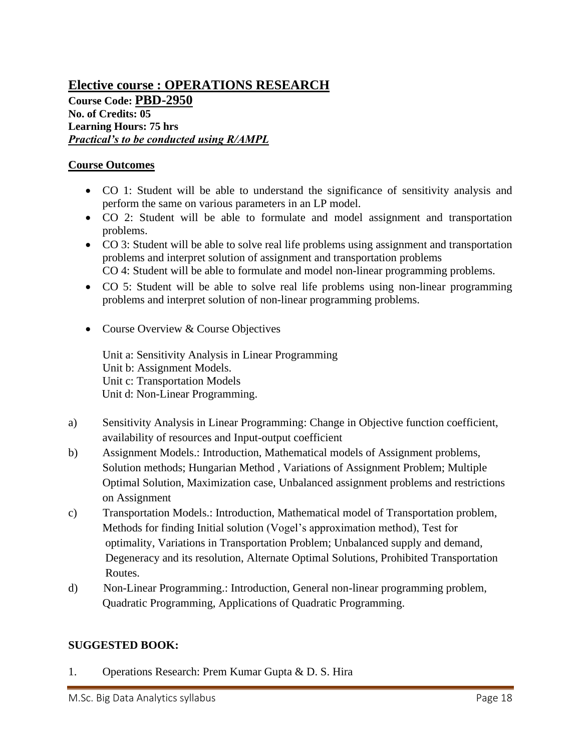## **Elective course : OPERATIONS RESEARCH Course Code: PBD-2950 No. of Credits: 05 Learning Hours: 75 hrs** *Practical's to be conducted using R/AMPL*

### **Course Outcomes**

- CO 1: Student will be able to understand the significance of sensitivity analysis and perform the same on various parameters in an LP model.
- CO 2: Student will be able to formulate and model assignment and transportation problems.
- CO 3: Student will be able to solve real life problems using assignment and transportation problems and interpret solution of assignment and transportation problems CO 4: Student will be able to formulate and model non-linear programming problems.
- CO 5: Student will be able to solve real life problems using non-linear programming problems and interpret solution of non-linear programming problems.
- Course Overview & Course Objectives

 Unit a: Sensitivity Analysis in Linear Programming Unit b: Assignment Models. Unit c: Transportation Models Unit d: Non-Linear Programming.

- a) Sensitivity Analysis in Linear Programming: Change in Objective function coefficient, availability of resources and Input-output coefficient
- b) Assignment Models.: Introduction, Mathematical models of Assignment problems, Solution methods; Hungarian Method , Variations of Assignment Problem; Multiple Optimal Solution, Maximization case, Unbalanced assignment problems and restrictions on Assignment
- c) Transportation Models.: Introduction, Mathematical model of Transportation problem, Methods for finding Initial solution (Vogel's approximation method), Test for optimality, Variations in Transportation Problem; Unbalanced supply and demand, Degeneracy and its resolution, Alternate Optimal Solutions, Prohibited Transportation Routes.
- d)Non-Linear Programming.: Introduction, General non-linear programming problem, Quadratic Programming, Applications of Quadratic Programming.

### **SUGGESTED BOOK:**

1. Operations Research: Prem Kumar Gupta & D. S. Hira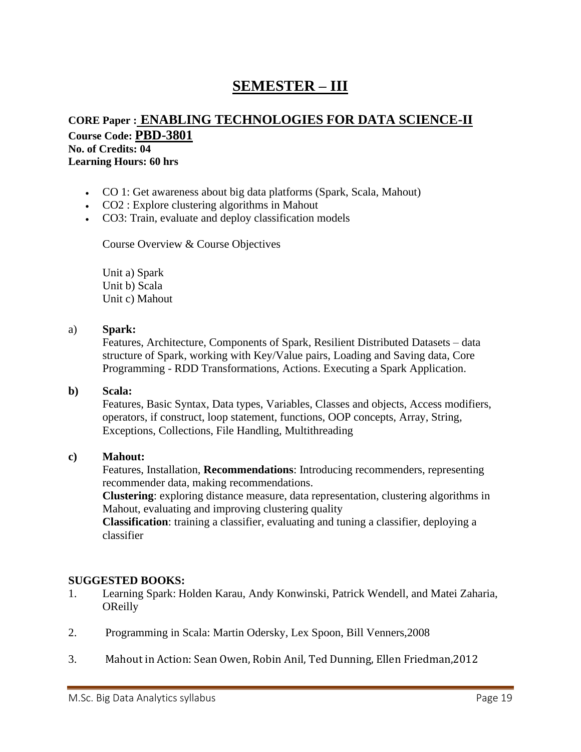# **SEMESTER – III**

### **CORE Paper : ENABLING TECHNOLOGIES FOR DATA SCIENCE-II Course Code: PBD-3801 No. of Credits: 04 Learning Hours: 60 hrs**

- CO 1: Get awareness about big data platforms (Spark, Scala, Mahout)
- CO2 : Explore clustering algorithms in Mahout
- CO3: Train, evaluate and deploy classification models

Course Overview & Course Objectives

Unit a) Spark Unit b) Scala Unit c) Mahout

### a) **Spark:**

Features, Architecture, Components of Spark, Resilient Distributed Datasets – data structure of Spark, working with Key/Value pairs, Loading and Saving data, Core Programming - RDD Transformations, Actions. Executing a Spark Application.

### **b) Scala:**

Features, Basic Syntax, Data types, Variables, Classes and objects, Access modifiers, operators, if construct, loop statement, functions, OOP concepts, Array, String, Exceptions, Collections, File Handling, Multithreading

### **c) Mahout:**

Features, Installation, **Recommendations**: Introducing recommenders, representing recommender data, making recommendations.

**Clustering**: exploring distance measure, data representation, clustering algorithms in Mahout, evaluating and improving clustering quality

**Classification**: training a classifier, evaluating and tuning a classifier, deploying a classifier

- 1. Learning Spark: Holden Karau, Andy Konwinski, Patrick Wendell, and Matei Zaharia, **OReilly**
- 2. Programming in Scala: Martin Odersky, Lex Spoon, Bill Venners,2008
- 3. Mahout in Action: Sean Owen, Robin Anil, Ted Dunning, Ellen Friedman,2012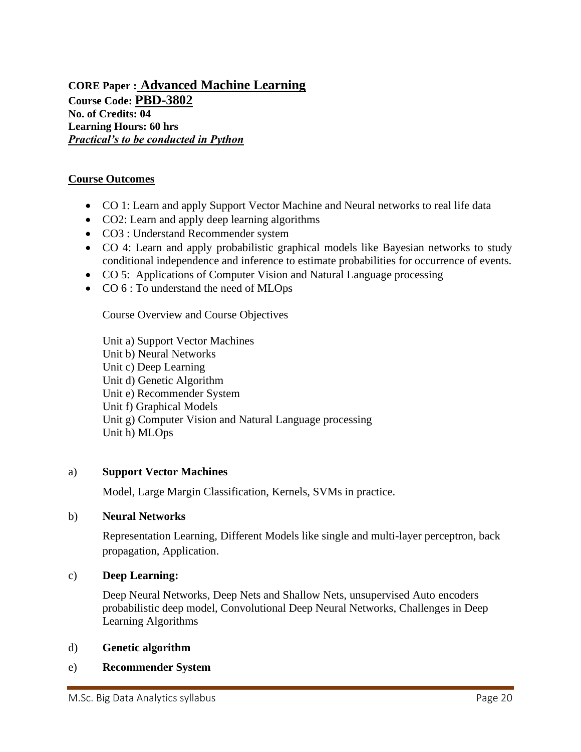**CORE Paper : Advanced Machine Learning Course Code: PBD-3802 No. of Credits: 04 Learning Hours: 60 hrs** *Practical's to be conducted in Python*

### **Course Outcomes**

- CO 1: Learn and apply Support Vector Machine and Neural networks to real life data
- CO2: Learn and apply deep learning algorithms
- CO3 : Understand Recommender system
- CO 4: Learn and apply probabilistic graphical models like Bayesian networks to study conditional independence and inference to estimate probabilities for occurrence of events.
- CO 5: Applications of Computer Vision and Natural Language processing
- CO  $6:$  To understand the need of MLOps

Course Overview and Course Objectives

Unit a) Support Vector Machines Unit b) Neural Networks Unit c) Deep Learning Unit d) Genetic Algorithm Unit e) Recommender System Unit f) Graphical Models Unit g) Computer Vision and Natural Language processing Unit h) MLOps

#### a) **Support Vector Machines**

Model, Large Margin Classification, Kernels, SVMs in practice.

#### b) **Neural Networks**

Representation Learning, Different Models like single and multi-layer perceptron, back propagation, Application.

#### c) **Deep Learning:**

Deep Neural Networks, Deep Nets and Shallow Nets, unsupervised Auto encoders probabilistic deep model, Convolutional Deep Neural Networks, Challenges in Deep Learning Algorithms

#### d) **Genetic algorithm**

### e) **Recommender System**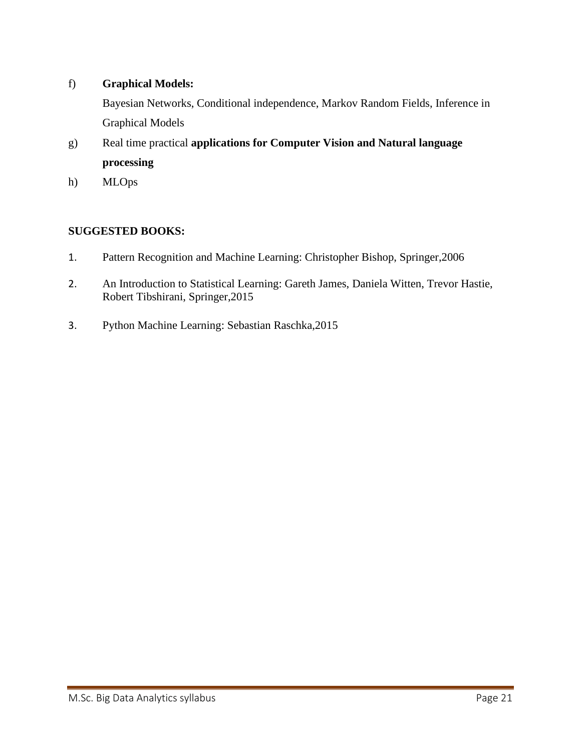### f) **Graphical Models:**

Bayesian Networks, Conditional independence, Markov Random Fields, Inference in Graphical Models

- g) Real time practical **applications for Computer Vision and Natural language processing**
- h) MLOps

- 1. Pattern Recognition and Machine Learning: Christopher Bishop, Springer,2006
- 2. An Introduction to Statistical Learning: Gareth James, Daniela Witten, Trevor Hastie, Robert Tibshirani, Springer,2015
- 3. Python Machine Learning: Sebastian Raschka,2015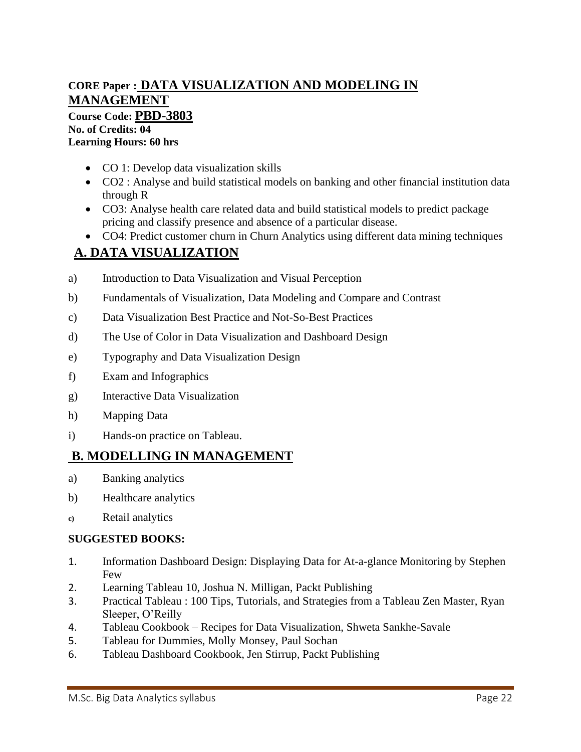# **CORE Paper : DATA VISUALIZATION AND MODELING IN MANAGEMENT Course Code: PBD-3803**

**No. of Credits: 04 Learning Hours: 60 hrs**

- CO 1: Develop data visualization skills
- CO2 : Analyse and build statistical models on banking and other financial institution data through R
- CO3: Analyse health care related data and build statistical models to predict package pricing and classify presence and absence of a particular disease.
- CO4: Predict customer churn in Churn Analytics using different data mining techniques

# **A. DATA VISUALIZATION**

- a) Introduction to Data Visualization and Visual Perception
- b) Fundamentals of Visualization, Data Modeling and Compare and Contrast
- c) Data Visualization Best Practice and Not-So-Best Practices
- d) The Use of Color in Data Visualization and Dashboard Design
- e) Typography and Data Visualization Design
- f) Exam and Infographics
- g) Interactive Data Visualization
- h) Mapping Data
- i) Hands-on practice on Tableau.

# **B. MODELLING IN MANAGEMENT**

- a) Banking analytics
- b) Healthcare analytics
- **c)** Retail analytics

- 1. Information Dashboard Design: Displaying Data for At-a-glance Monitoring by Stephen Few
- 2. Learning Tableau 10, Joshua N. Milligan, Packt Publishing
- 3. Practical Tableau : 100 Tips, Tutorials, and Strategies from a Tableau Zen Master, Ryan Sleeper, O'Reilly
- 4. Tableau Cookbook Recipes for Data Visualization, Shweta Sankhe-Savale
- 5. Tableau for Dummies, Molly Monsey, Paul Sochan
- 6. Tableau Dashboard Cookbook, Jen Stirrup, Packt Publishing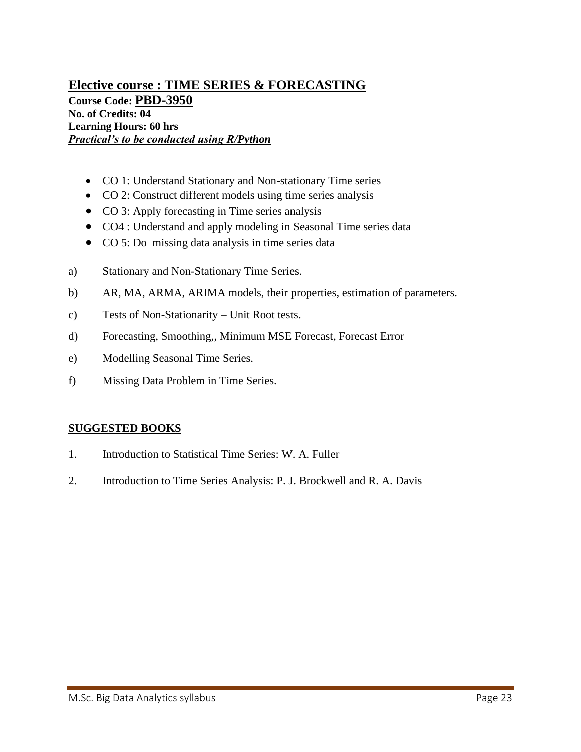## **Elective course : TIME SERIES & FORECASTING Course Code: PBD-3950 No. of Credits: 04 Learning Hours: 60 hrs** *Practical's to be conducted using R/Python*

- CO 1: Understand Stationary and Non-stationary Time series
- CO 2: Construct different models using time series analysis
- CO 3: Apply forecasting in Time series analysis
- CO4 : Understand and apply modeling in Seasonal Time series data
- CO 5: Do missing data analysis in time series data
- a) Stationary and Non-Stationary Time Series.
- b) AR, MA, ARMA, ARIMA models, their properties, estimation of parameters.
- c) Tests of Non-Stationarity Unit Root tests.
- d) Forecasting, Smoothing,, Minimum MSE Forecast, Forecast Error
- e) Modelling Seasonal Time Series.
- f) Missing Data Problem in Time Series.

- 1. Introduction to Statistical Time Series: W. A. Fuller
- 2. Introduction to Time Series Analysis: P. J. Brockwell and R. A. Davis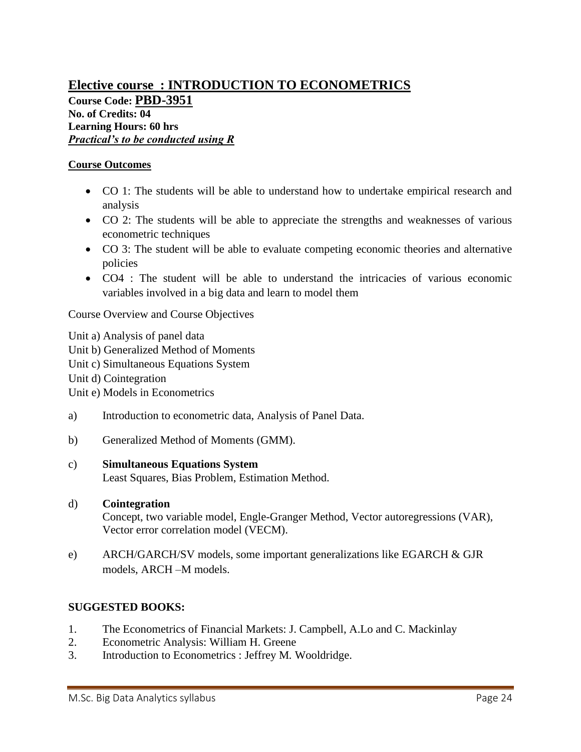# **Elective course : INTRODUCTION TO ECONOMETRICS Course Code: PBD-3951 No. of Credits: 04 Learning Hours: 60 hrs** *Practical's to be conducted using R*

### **Course Outcomes**

- CO 1: The students will be able to understand how to undertake empirical research and analysis
- CO 2: The students will be able to appreciate the strengths and weaknesses of various econometric techniques
- CO 3: The student will be able to evaluate competing economic theories and alternative policies
- CO4 : The student will be able to understand the intricacies of various economic variables involved in a big data and learn to model them

Course Overview and Course Objectives

Unit a) Analysis of panel data Unit b) Generalized Method of Moments Unit c) Simultaneous Equations System Unit d) Cointegration Unit e) Models in Econometrics

- a) Introduction to econometric data, Analysis of Panel Data.
- b) Generalized Method of Moments (GMM).

### c) **Simultaneous Equations System**

Least Squares, Bias Problem, Estimation Method.

### d) **Cointegration**

Concept, two variable model, Engle-Granger Method, Vector autoregressions (VAR), Vector error correlation model (VECM).

e) ARCH/GARCH/SV models, some important generalizations like EGARCH & GJR models, ARCH –M models.

- 1. The Econometrics of Financial Markets: J. Campbell, A.Lo and C. Mackinlay
- 2. Econometric Analysis: William H. Greene
- 3. Introduction to Econometrics : Jeffrey M*.* Wooldridge.